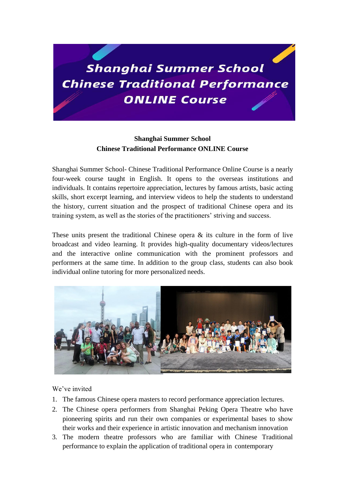

# **Shanghai Summer School Chinese Traditional Performance ONLINE Course**

Shanghai Summer School- Chinese Traditional Performance Online Course is a nearly four-week course taught in English. It opens to the overseas institutions and individuals. It contains repertoire appreciation, lectures by famous artists, basic acting skills, short excerpt learning, and interview videos to help the students to understand the history, current situation and the prospect of traditional Chinese opera and its training system, as well as the stories of the practitioners' striving and success.

These units present the traditional Chinese opera  $\&$  its culture in the form of live broadcast and video learning. It provides high-quality documentary videos/lectures and the interactive online communication with the prominent professors and performers at the same time. In addition to the group class, students can also book individual online tutoring for more personalized needs.



We've invited

- 1. The famous Chinese opera masters to record performance appreciation lectures.
- 2. The Chinese opera performers from Shanghai Peking Opera Theatre who have pioneering spirits and run their own companies or experimental bases to show their works and their experience in artistic innovation and mechanism innovation
- 3. The modern theatre professors who are familiar with Chinese Traditional performance to explain the application of traditional opera in contemporary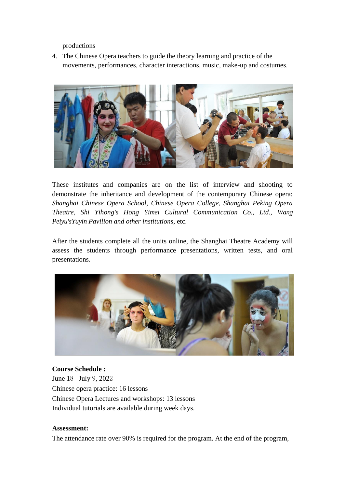productions

4. The Chinese Opera teachers to guide the theory learning and practice of the movements, performances, character interactions, music, make-up and costumes.



These institutes and companies are on the list of interview and shooting to demonstrate the inheritance and development of the contemporary Chinese opera: *Shanghai Chinese Opera School, Chinese Opera College, Shanghai Peking Opera Theatre, Shi Yihong's Hong Yimei Cultural Communication Co., Ltd., Wang Peiyu'sYuyin Pavilion and other institutions*, etc.

After the students complete all the units online, the Shanghai Theatre Academy will assess the students through performance presentations, written tests, and oral presentations.



### **Course Schedule :**

June 18– July 9, 2022 Chinese opera practice: 16 lessons Chinese Opera Lectures and workshops: 13 lessons Individual tutorials are available during week days.

#### **Assessment:**

The attendance rate over 90% is required for the program. At the end of the program,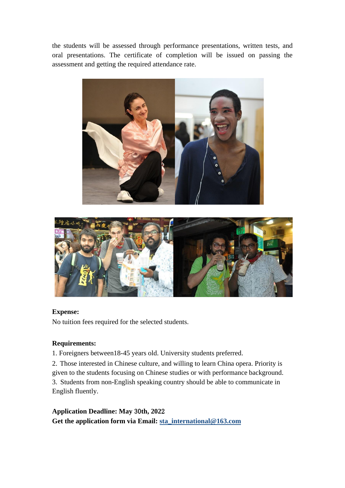the students will be assessed through performance presentations, written tests, and oral presentations. The certificate of completion will be issued on passing the assessment and getting the required attendance rate.





## **Expense:**

No tuition fees required for the selected students.

## **Requirements:**

1. Foreigners between18-45 years old. University students preferred.

2. Those interested in Chinese culture, and willing to learn China opera. Priority is given to the students focusing on Chinese studies or with performance background. 3. Students from non-English speaking country should be able to communicate in English fluently.

**Application Deadline: May** 30**th, 202**2 **Get the application form via Email: [sta\\_international@163.com](mailto:sta_international@163.com)**